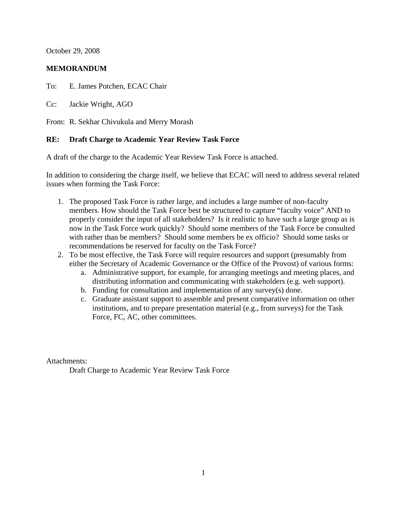October 29, 2008

## **MEMORANDUM**

To: E. James Potchen, ECAC Chair

Cc: Jackie Wright, AGO

From: R. Sekhar Chivukula and Merry Morash

## **RE: Draft Charge to Academic Year Review Task Force**

A draft of the charge to the Academic Year Review Task Force is attached.

In addition to considering the charge itself, we believe that ECAC will need to address several related issues when forming the Task Force:

- 1. The proposed Task Force is rather large, and includes a large number of non-faculty members. How should the Task Force best be structured to capture "faculty voice" AND to properly consider the input of all stakeholders? Is it realistic to have such a large group as is now in the Task Force work quickly? Should some members of the Task Force be consulted with rather than be members? Should some members be ex officio? Should some tasks or recommendations be reserved for faculty on the Task Force?
- 2. To be most effective, the Task Force will require resources and support (presumably from either the Secretary of Academic Governance or the Office of the Provost) of various forms:
	- a. Administrative support, for example, for arranging meetings and meeting places, and distributing information and communicating with stakeholders (e.g. web support).
	- b. Funding for consultation and implementation of any survey(s) done.
	- c. Graduate assistant support to assemble and present comparative information on other institutions, and to prepare presentation material (e.g., from surveys) for the Task Force, FC, AC, other committees.

Attachments:

Draft Charge to Academic Year Review Task Force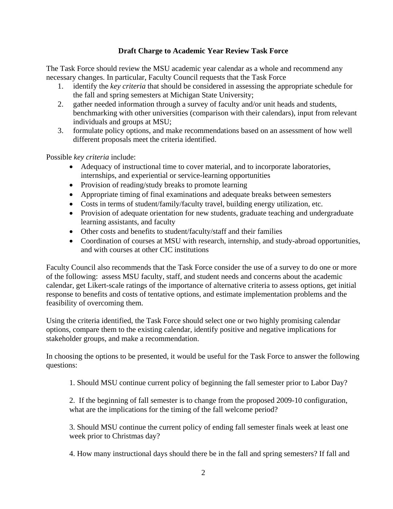## **Draft Charge to Academic Year Review Task Force**

The Task Force should review the MSU academic year calendar as a whole and recommend any necessary changes. In particular, Faculty Council requests that the Task Force

- 1. identify the *key criteria* that should be considered in assessing the appropriate schedule for the fall and spring semesters at Michigan State University;
- 2. gather needed information through a survey of faculty and/or unit heads and students, benchmarking with other universities (comparison with their calendars), input from relevant individuals and groups at MSU;
- 3. formulate policy options, and make recommendations based on an assessment of how well different proposals meet the criteria identified.

Possible *key criteria* include:

- Adequacy of instructional time to cover material, and to incorporate laboratories, internships, and experiential or service-learning opportunities
- Provision of reading/study breaks to promote learning
- Appropriate timing of final examinations and adequate breaks between semesters
- Costs in terms of student/family/faculty travel, building energy utilization, etc.
- Provision of adequate orientation for new students, graduate teaching and undergraduate learning assistants, and faculty
- Other costs and benefits to student/faculty/staff and their families
- Coordination of courses at MSU with research, internship, and study-abroad opportunities, and with courses at other CIC institutions

Faculty Council also recommends that the Task Force consider the use of a survey to do one or more of the following: assess MSU faculty, staff, and student needs and concerns about the academic calendar, get Likert-scale ratings of the importance of alternative criteria to assess options, get initial response to benefits and costs of tentative options, and estimate implementation problems and the feasibility of overcoming them.

Using the criteria identified, the Task Force should select one or two highly promising calendar options, compare them to the existing calendar, identify positive and negative implications for stakeholder groups, and make a recommendation.

In choosing the options to be presented, it would be useful for the Task Force to answer the following questions:

1. Should MSU continue current policy of beginning the fall semester prior to Labor Day?

2. If the beginning of fall semester is to change from the proposed 2009-10 configuration, what are the implications for the timing of the fall welcome period?

3. Should MSU continue the current policy of ending fall semester finals week at least one week prior to Christmas day?

4. How many instructional days should there be in the fall and spring semesters? If fall and